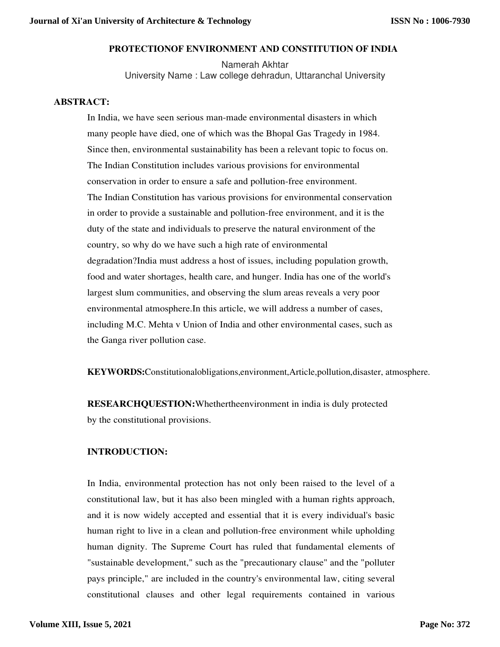## **PROTECTIONOF ENVIRONMENT AND CONSTITUTION OF INDIA**

Namerah Akhtar University Name : Law college dehradun, Uttaranchal University

#### **ABSTRACT:**

In India, we have seen serious man-made environmental disasters in which many people have died, one of which was the Bhopal Gas Tragedy in 1984. Since then, environmental sustainability has been a relevant topic to focus on. The Indian Constitution includes various provisions for environmental conservation in order to ensure a safe and pollution-free environment. The Indian Constitution has various provisions for environmental conservation in order to provide a sustainable and pollution-free environment, and it is the duty of the state and individuals to preserve the natural environment of the country, so why do we have such a high rate of environmental degradation?India must address a host of issues, including population growth, food and water shortages, health care, and hunger. India has one of the world's largest slum communities, and observing the slum areas reveals a very poor environmental atmosphere.In this article, we will address a number of cases, including M.C. Mehta v Union of India and other environmental cases, such as the Ganga river pollution case.

**KEYWORDS:**Constitutionalobligations,environment,Article,pollution,disaster, atmosphere.

**RESEARCHQUESTION:**Whethertheenvironment in india is duly protected by the constitutional provisions.

### **INTRODUCTION:**

In India, environmental protection has not only been raised to the level of a constitutional law, but it has also been mingled with a human rights approach, and it is now widely accepted and essential that it is every individual's basic human right to live in a clean and pollution-free environment while upholding human dignity. The Supreme Court has ruled that fundamental elements of "sustainable development," such as the "precautionary clause" and the "polluter pays principle," are included in the country's environmental law, citing several constitutional clauses and other legal requirements contained in various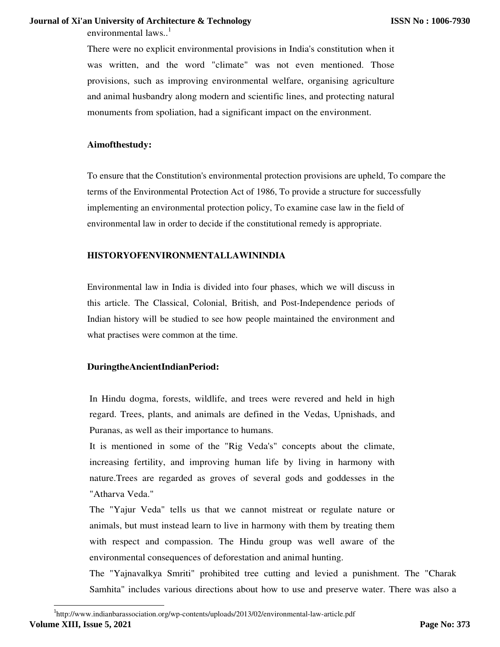environmental laws. $<sup>1</sup>$ </sup>

There were no explicit environmental provisions in India's constitution when it was written, and the word "climate" was not even mentioned. Those provisions, such as improving environmental welfare, organising agriculture and animal husbandry along modern and scientific lines, and protecting natural monuments from spoliation, had a significant impact on the environment.

### **Aimofthestudy:**

To ensure that the Constitution's environmental protection provisions are upheld, To compare the terms of the Environmental Protection Act of 1986, To provide a structure for successfully implementing an environmental protection policy, To examine case law in the field of environmental law in order to decide if the constitutional remedy is appropriate.

## **HISTORYOFENVIRONMENTALLAWININDIA**

Environmental law in India is divided into four phases, which we will discuss in this article. The Classical, Colonial, British, and Post-Independence periods of Indian history will be studied to see how people maintained the environment and what practises were common at the time.

### **DuringtheAncientIndianPeriod:**

In Hindu dogma, forests, wildlife, and trees were revered and held in high regard. Trees, plants, and animals are defined in the Vedas, Upnishads, and Puranas, as well as their importance to humans.

It is mentioned in some of the "Rig Veda's" concepts about the climate, increasing fertility, and improving human life by living in harmony with nature.Trees are regarded as groves of several gods and goddesses in the "Atharva Veda."

The "Yajur Veda" tells us that we cannot mistreat or regulate nature or animals, but must instead learn to live in harmony with them by treating them with respect and compassion. The Hindu group was well aware of the environmental consequences of deforestation and animal hunting.

The "Yajnavalkya Smriti" prohibited tree cutting and levied a punishment. The "Charak Samhita" includes various directions about how to use and preserve water. There was also a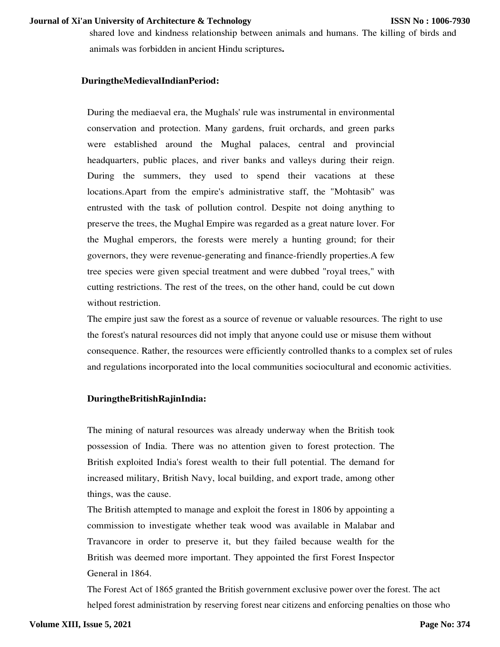shared love and kindness relationship between animals and humans. The killing of birds and animals was forbidden in ancient Hindu scriptures**.** 

### **DuringtheMedievalIndianPeriod:**

During the mediaeval era, the Mughals' rule was instrumental in environmental conservation and protection. Many gardens, fruit orchards, and green parks were established around the Mughal palaces, central and provincial headquarters, public places, and river banks and valleys during their reign. During the summers, they used to spend their vacations at these locations.Apart from the empire's administrative staff, the "Mohtasib" was entrusted with the task of pollution control. Despite not doing anything to preserve the trees, the Mughal Empire was regarded as a great nature lover. For the Mughal emperors, the forests were merely a hunting ground; for their governors, they were revenue-generating and finance-friendly properties.A few tree species were given special treatment and were dubbed "royal trees," with cutting restrictions. The rest of the trees, on the other hand, could be cut down without restriction.

The empire just saw the forest as a source of revenue or valuable resources. The right to use the forest's natural resources did not imply that anyone could use or misuse them without consequence. Rather, the resources were efficiently controlled thanks to a complex set of rules and regulations incorporated into the local communities sociocultural and economic activities.

#### **DuringtheBritishRajinIndia:**

The mining of natural resources was already underway when the British took possession of India. There was no attention given to forest protection. The British exploited India's forest wealth to their full potential. The demand for increased military, British Navy, local building, and export trade, among other things, was the cause.

The British attempted to manage and exploit the forest in 1806 by appointing a commission to investigate whether teak wood was available in Malabar and Travancore in order to preserve it, but they failed because wealth for the British was deemed more important. They appointed the first Forest Inspector General in 1864.

The Forest Act of 1865 granted the British government exclusive power over the forest. The act helped forest administration by reserving forest near citizens and enforcing penalties on those who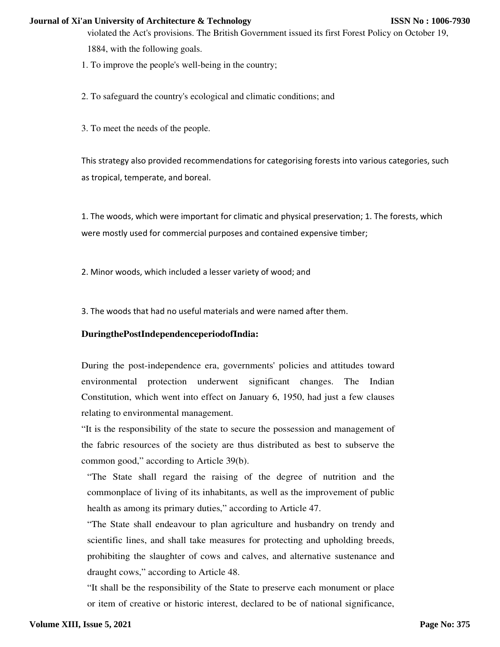violated the Act's provisions. The British Government issued its first Forest Policy on October 19, 1884, with the following goals.

1. To improve the people's well-being in the country;

2. To safeguard the country's ecological and climatic conditions; and

3. To meet the needs of the people.

This strategy also provided recommendations for categorising forests into various categories, such as tropical, temperate, and boreal.

1. The woods, which were important for climatic and physical preservation; 1. The forests, which were mostly used for commercial purposes and contained expensive timber;

2. Minor woods, which included a lesser variety of wood; and

3. The woods that had no useful materials and were named after them.

## **DuringthePostIndependenceperiodofIndia:**

During the post-independence era, governments' policies and attitudes toward environmental protection underwent significant changes. The Indian Constitution, which went into effect on January 6, 1950, had just a few clauses relating to environmental management.

"It is the responsibility of the state to secure the possession and management of the fabric resources of the society are thus distributed as best to subserve the common good," according to Article 39(b).

"The State shall regard the raising of the degree of nutrition and the commonplace of living of its inhabitants, as well as the improvement of public health as among its primary duties," according to Article 47.

"The State shall endeavour to plan agriculture and husbandry on trendy and scientific lines, and shall take measures for protecting and upholding breeds, prohibiting the slaughter of cows and calves, and alternative sustenance and draught cows," according to Article 48.

"It shall be the responsibility of the State to preserve each monument or place or item of creative or historic interest, declared to be of national significance,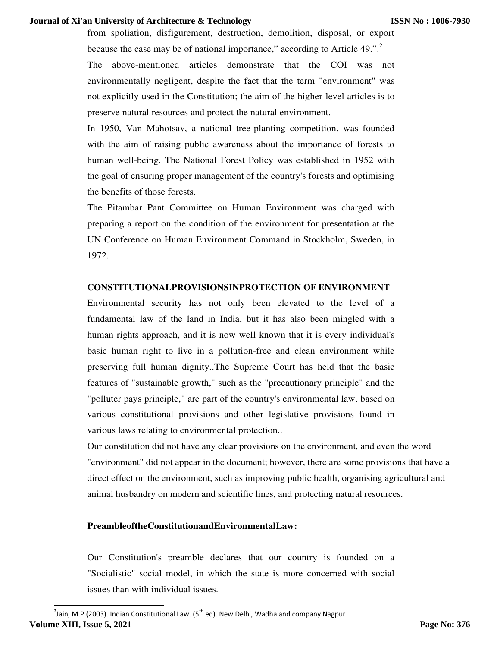from spoliation, disfigurement, destruction, demolition, disposal, or export because the case may be of national importance," according to Article 49.".<sup>2</sup> The above-mentioned articles demonstrate that the COI was not environmentally negligent, despite the fact that the term "environment" was not explicitly used in the Constitution; the aim of the higher-level articles is to preserve natural resources and protect the natural environment.

In 1950, Van Mahotsav, a national tree-planting competition, was founded with the aim of raising public awareness about the importance of forests to human well-being. The National Forest Policy was established in 1952 with the goal of ensuring proper management of the country's forests and optimising the benefits of those forests.

The Pitambar Pant Committee on Human Environment was charged with preparing a report on the condition of the environment for presentation at the UN Conference on Human Environment Command in Stockholm, Sweden, in 1972.

## **CONSTITUTIONALPROVISIONSINPROTECTION OF ENVIRONMENT**

Environmental security has not only been elevated to the level of a fundamental law of the land in India, but it has also been mingled with a human rights approach, and it is now well known that it is every individual's basic human right to live in a pollution-free and clean environment while preserving full human dignity..The Supreme Court has held that the basic features of "sustainable growth," such as the "precautionary principle" and the "polluter pays principle," are part of the country's environmental law, based on various constitutional provisions and other legislative provisions found in various laws relating to environmental protection..

Our constitution did not have any clear provisions on the environment, and even the word "environment" did not appear in the document; however, there are some provisions that have a direct effect on the environment, such as improving public health, organising agricultural and animal husbandry on modern and scientific lines, and protecting natural resources.

## **PreambleoftheConstitutionandEnvironmentalLaw:**

Our Constitution's preamble declares that our country is founded on a "Socialistic" social model, in which the state is more concerned with social issues than with individual issues.

 $^{2}$ Jain, M.P (2003). Indian Constitutional Law. (5<sup>th</sup> ed). New Delhi, Wadha and company Nagpur **Volume XIII, Issue 5, 2021**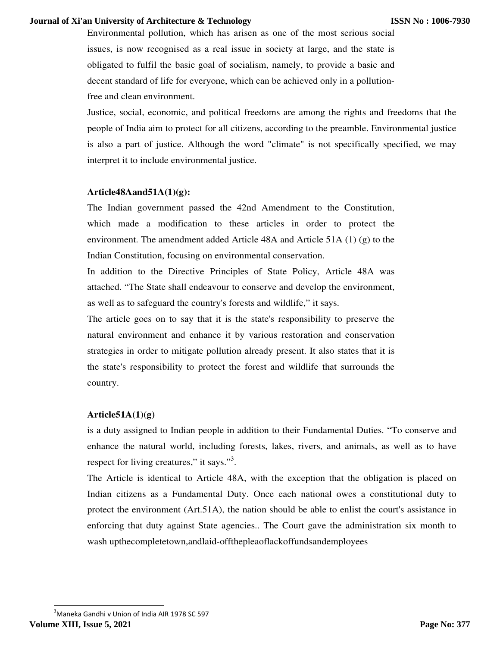Environmental pollution, which has arisen as one of the most serious social issues, is now recognised as a real issue in society at large, and the state is obligated to fulfil the basic goal of socialism, namely, to provide a basic and decent standard of life for everyone, which can be achieved only in a pollutionfree and clean environment.

Justice, social, economic, and political freedoms are among the rights and freedoms that the people of India aim to protect for all citizens, according to the preamble. Environmental justice is also a part of justice. Although the word "climate" is not specifically specified, we may interpret it to include environmental justice.

### **Article48Aand51A(1)(g):**

The Indian government passed the 42nd Amendment to the Constitution, which made a modification to these articles in order to protect the environment. The amendment added Article 48A and Article 51A (1) (g) to the Indian Constitution, focusing on environmental conservation.

In addition to the Directive Principles of State Policy, Article 48A was attached. "The State shall endeavour to conserve and develop the environment, as well as to safeguard the country's forests and wildlife," it says.

The article goes on to say that it is the state's responsibility to preserve the natural environment and enhance it by various restoration and conservation strategies in order to mitigate pollution already present. It also states that it is the state's responsibility to protect the forest and wildlife that surrounds the country.

### **Article51A(1)(g)**

is a duty assigned to Indian people in addition to their Fundamental Duties. "To conserve and enhance the natural world, including forests, lakes, rivers, and animals, as well as to have respect for living creatures," it says."<sup>3</sup>.

The Article is identical to Article 48A, with the exception that the obligation is placed on Indian citizens as a Fundamental Duty. Once each national owes a constitutional duty to protect the environment (Art.51A), the nation should be able to enlist the court's assistance in enforcing that duty against State agencies.. The Court gave the administration six month to wash upthecompletetown,andlaid-offthepleaoflackoffundsandemployees

<sup>3</sup>Maneka Gandhi v Union of India AIR 1978 SC 597 **Volume XIII, Issue 5, 2021**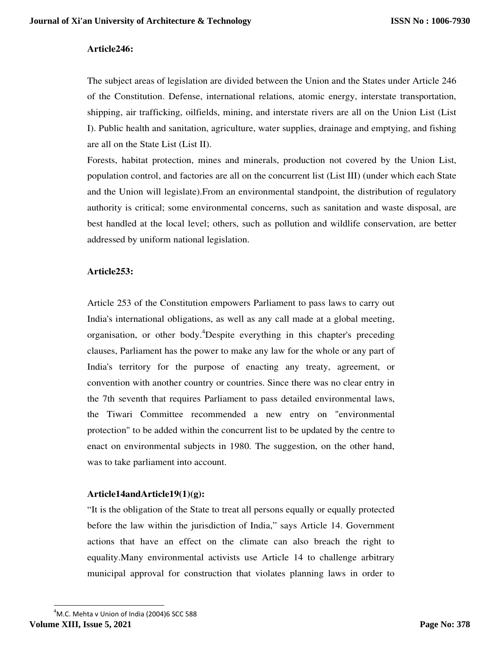## **Article246:**

The subject areas of legislation are divided between the Union and the States under Article 246 of the Constitution. Defense, international relations, atomic energy, interstate transportation, shipping, air trafficking, oilfields, mining, and interstate rivers are all on the Union List (List I). Public health and sanitation, agriculture, water supplies, drainage and emptying, and fishing are all on the State List (List II).

Forests, habitat protection, mines and minerals, production not covered by the Union List, population control, and factories are all on the concurrent list (List III) (under which each State and the Union will legislate).From an environmental standpoint, the distribution of regulatory authority is critical; some environmental concerns, such as sanitation and waste disposal, are best handled at the local level; others, such as pollution and wildlife conservation, are better addressed by uniform national legislation.

## **Article253:**

Article 253 of the Constitution empowers Parliament to pass laws to carry out India's international obligations, as well as any call made at a global meeting, organisation, or other body.<sup>4</sup>Despite everything in this chapter's preceding clauses, Parliament has the power to make any law for the whole or any part of India's territory for the purpose of enacting any treaty, agreement, or convention with another country or countries. Since there was no clear entry in the 7th seventh that requires Parliament to pass detailed environmental laws, the Tiwari Committee recommended a new entry on "environmental protection" to be added within the concurrent list to be updated by the centre to enact on environmental subjects in 1980. The suggestion, on the other hand, was to take parliament into account.

## **Article14andArticle19(1)(g):**

"It is the obligation of the State to treat all persons equally or equally protected before the law within the jurisdiction of India," says Article 14. Government actions that have an effect on the climate can also breach the right to equality.Many environmental activists use Article 14 to challenge arbitrary municipal approval for construction that violates planning laws in order to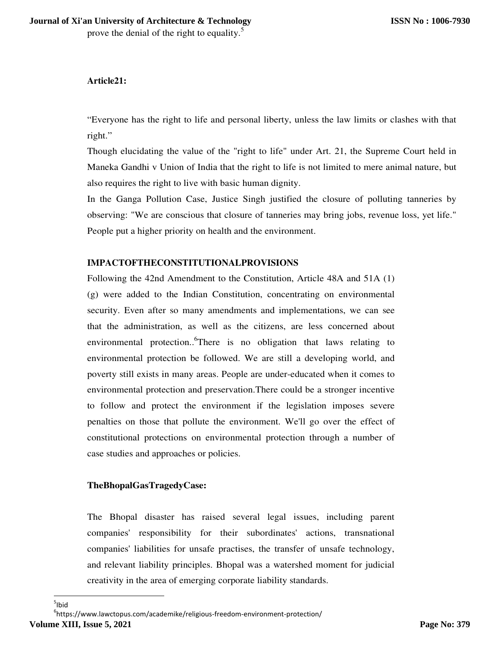# **Article21:**

"Everyone has the right to life and personal liberty, unless the law limits or clashes with that right."

Though elucidating the value of the "right to life" under Art. 21, the Supreme Court held in Maneka Gandhi v Union of India that the right to life is not limited to mere animal nature, but also requires the right to live with basic human dignity.

In the Ganga Pollution Case, Justice Singh justified the closure of polluting tanneries by observing: "We are conscious that closure of tanneries may bring jobs, revenue loss, yet life." People put a higher priority on health and the environment.

# **IMPACTOFTHECONSTITUTIONALPROVISIONS**

Following the 42nd Amendment to the Constitution, Article 48A and 51A (1) (g) were added to the Indian Constitution, concentrating on environmental security. Even after so many amendments and implementations, we can see that the administration, as well as the citizens, are less concerned about environmental protection..<sup>6</sup>There is no obligation that laws relating to environmental protection be followed. We are still a developing world, and poverty still exists in many areas. People are under-educated when it comes to environmental protection and preservation.There could be a stronger incentive to follow and protect the environment if the legislation imposes severe penalties on those that pollute the environment. We'll go over the effect of constitutional protections on environmental protection through a number of case studies and approaches or policies.

## **TheBhopalGasTragedyCase:**

The Bhopal disaster has raised several legal issues, including parent companies' responsibility for their subordinates' actions, transnational companies' liabilities for unsafe practises, the transfer of unsafe technology, and relevant liability principles. Bhopal was a watershed moment for judicial creativity in the area of emerging corporate liability standards.

6 https://www.lawctopus.com/academike/religious-freedom-environment-protection/ **Volume XIII, Issue 5, 2021**

<sup>1</sup>  $5$ lbid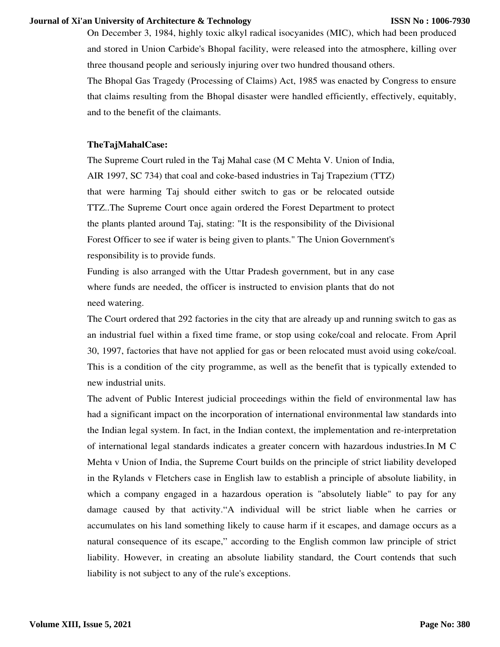On December 3, 1984, highly toxic alkyl radical isocyanides (MIC), which had been produced and stored in Union Carbide's Bhopal facility, were released into the atmosphere, killing over three thousand people and seriously injuring over two hundred thousand others.

The Bhopal Gas Tragedy (Processing of Claims) Act, 1985 was enacted by Congress to ensure that claims resulting from the Bhopal disaster were handled efficiently, effectively, equitably, and to the benefit of the claimants.

#### **TheTajMahalCase:**

The Supreme Court ruled in the Taj Mahal case (M C Mehta V. Union of India, AIR 1997, SC 734) that coal and coke-based industries in Taj Trapezium (TTZ) that were harming Taj should either switch to gas or be relocated outside TTZ..The Supreme Court once again ordered the Forest Department to protect the plants planted around Taj, stating: "It is the responsibility of the Divisional Forest Officer to see if water is being given to plants." The Union Government's responsibility is to provide funds.

Funding is also arranged with the Uttar Pradesh government, but in any case where funds are needed, the officer is instructed to envision plants that do not need watering.

The Court ordered that 292 factories in the city that are already up and running switch to gas as an industrial fuel within a fixed time frame, or stop using coke/coal and relocate. From April 30, 1997, factories that have not applied for gas or been relocated must avoid using coke/coal. This is a condition of the city programme, as well as the benefit that is typically extended to new industrial units.

The advent of Public Interest judicial proceedings within the field of environmental law has had a significant impact on the incorporation of international environmental law standards into the Indian legal system. In fact, in the Indian context, the implementation and re-interpretation of international legal standards indicates a greater concern with hazardous industries.In M C Mehta v Union of India, the Supreme Court builds on the principle of strict liability developed in the Rylands v Fletchers case in English law to establish a principle of absolute liability, in which a company engaged in a hazardous operation is "absolutely liable" to pay for any damage caused by that activity."A individual will be strict liable when he carries or accumulates on his land something likely to cause harm if it escapes, and damage occurs as a natural consequence of its escape," according to the English common law principle of strict liability. However, in creating an absolute liability standard, the Court contends that such liability is not subject to any of the rule's exceptions.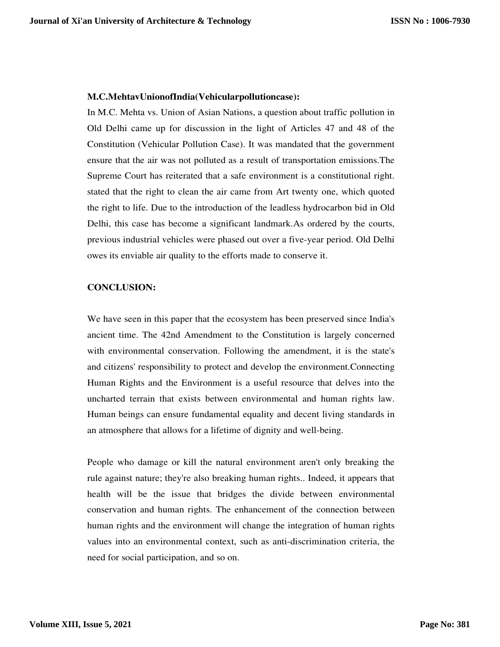### **M.C.MehtavUnionofIndia(Vehicularpollutioncase):**

In M.C. Mehta vs. Union of Asian Nations, a question about traffic pollution in Old Delhi came up for discussion in the light of Articles 47 and 48 of the Constitution (Vehicular Pollution Case). It was mandated that the government ensure that the air was not polluted as a result of transportation emissions.The Supreme Court has reiterated that a safe environment is a constitutional right. stated that the right to clean the air came from Art twenty one, which quoted the right to life. Due to the introduction of the leadless hydrocarbon bid in Old Delhi, this case has become a significant landmark.As ordered by the courts, previous industrial vehicles were phased out over a five-year period. Old Delhi owes its enviable air quality to the efforts made to conserve it.

## **CONCLUSION:**

We have seen in this paper that the ecosystem has been preserved since India's ancient time. The 42nd Amendment to the Constitution is largely concerned with environmental conservation. Following the amendment, it is the state's and citizens' responsibility to protect and develop the environment.Connecting Human Rights and the Environment is a useful resource that delves into the uncharted terrain that exists between environmental and human rights law. Human beings can ensure fundamental equality and decent living standards in an atmosphere that allows for a lifetime of dignity and well-being.

People who damage or kill the natural environment aren't only breaking the rule against nature; they're also breaking human rights.. Indeed, it appears that health will be the issue that bridges the divide between environmental conservation and human rights. The enhancement of the connection between human rights and the environment will change the integration of human rights values into an environmental context, such as anti-discrimination criteria, the need for social participation, and so on.